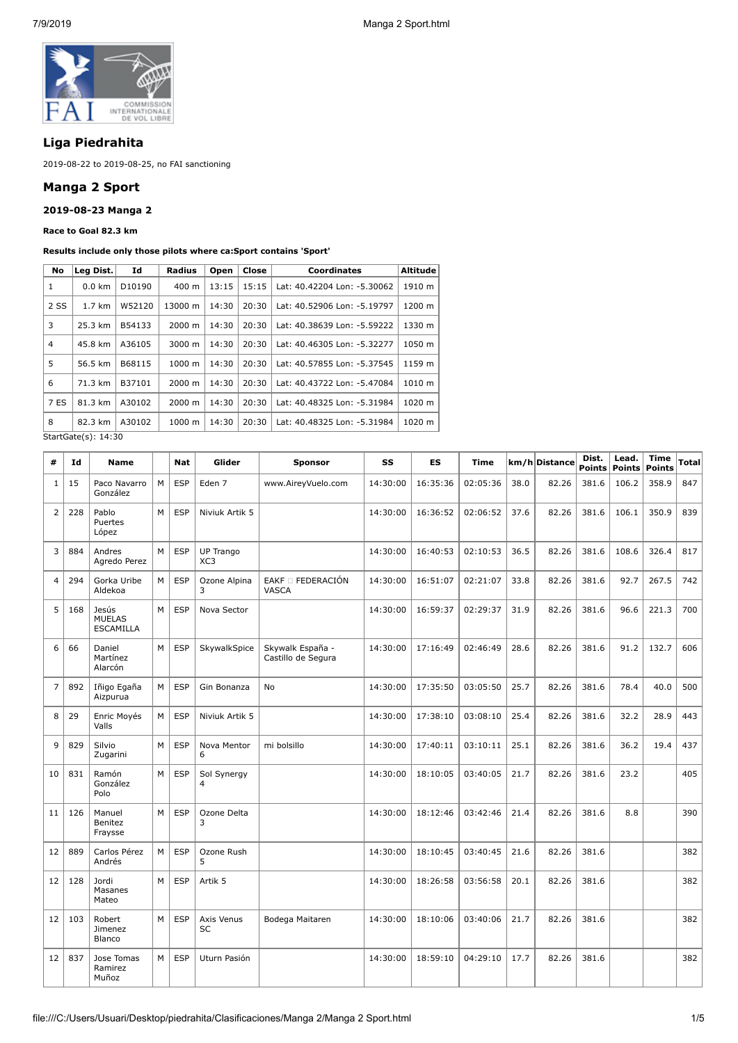

# **Liga Piedrahita**

2019-08-22 to 2019-08-25, no FAI sanctioning

## **Manga 2 Sport**

## **2019-08-23 Manga 2**

### **Race to Goal 82.3 km**

## **Results include only those pilots where ca:Sport contains 'Sport'**

| No             | Leg Dist.           | Id     | <b>Radius</b> | Open  | Close | <b>Coordinates</b>          | Altitude |
|----------------|---------------------|--------|---------------|-------|-------|-----------------------------|----------|
| 1              | $0.0 \text{ km}$    | D10190 | 400 m         | 13:15 | 15:15 | Lat: 40.42204 Lon: -5.30062 | 1910 m   |
| 2 SS           | 1.7 km              | W52120 | 13000 m       | 14:30 | 20:30 | Lat: 40.52906 Lon: -5.19797 | 1200 m   |
| 3              | 25.3 km             | B54133 | $2000 \; m$   | 14:30 | 20:30 | Lat: 40.38639 Lon: -5.59222 | 1330 m   |
| $\overline{4}$ | 45.8 km             | A36105 | 3000 m        | 14:30 | 20:30 | Lat: 40.46305 Lon: -5.32277 | 1050 m   |
| 5              | 56.5 km             | B68115 | 1000 m        | 14:30 | 20:30 | Lat: 40.57855 Lon: -5.37545 | 1159 m   |
| 6              | 71.3 km             | B37101 | 2000 m        | 14:30 | 20:30 | Lat: 40.43722 Lon: -5.47084 | 1010 m   |
| 7 ES           | 81.3 km             | A30102 | $2000 \; m$   | 14:30 | 20:30 | Lat: 40.48325 Lon: -5.31984 | 1020 m   |
| 8              | 82.3 km             | A30102 | 1000 m        | 14:30 | 20:30 | Lat: 40.48325 Lon: -5.31984 | 1020 m   |
|                | StartGate(s): 14:30 |        |               |       |       |                             |          |

StartGate(s): 14:30

| #              | Id  | <b>Name</b>                                |   | Nat        | Glider                              | <b>Sponsor</b>                         | SS       | ES       | <b>Time</b> |      | km/h Distance | Dist.<br><b>Points</b> | Lead.<br><b>Points</b> | <b>Time</b><br><b>Points</b> | Total |
|----------------|-----|--------------------------------------------|---|------------|-------------------------------------|----------------------------------------|----------|----------|-------------|------|---------------|------------------------|------------------------|------------------------------|-------|
| $\mathbf{1}$   | 15  | Paco Navarro<br>González                   | M | <b>ESP</b> | Eden 7                              | www.AireyVuelo.com                     | 14:30:00 | 16:35:36 | 02:05:36    | 38.0 | 82.26         | 381.6                  | 106.2                  | 358.9                        | 847   |
| $\overline{2}$ | 228 | Pablo<br>Puertes<br>López                  | M | <b>ESP</b> | Niviuk Artik 5                      |                                        | 14:30:00 | 16:36:52 | 02:06:52    | 37.6 | 82.26         | 381.6                  | 106.1                  | 350.9                        | 839   |
| 3              | 884 | Andres<br>Agredo Perez                     | M | <b>ESP</b> | <b>UP Trango</b><br>XC <sub>3</sub> |                                        | 14:30:00 | 16:40:53 | 02:10:53    | 36.5 | 82.26         | 381.6                  | 108.6                  | 326.4                        | 817   |
| $\overline{4}$ | 294 | Gorka Uribe<br>Aldekoa                     | M | <b>ESP</b> | Ozone Alpina<br>3                   | EAKF □ FEDERACIÓN<br>VASCA             | 14:30:00 | 16:51:07 | 02:21:07    | 33.8 | 82.26         | 381.6                  | 92.7                   | 267.5                        | 742   |
| 5              | 168 | Jesús<br><b>MUELAS</b><br><b>ESCAMILLA</b> | M | <b>ESP</b> | Nova Sector                         |                                        | 14:30:00 | 16:59:37 | 02:29:37    | 31.9 | 82.26         | 381.6                  | 96.6                   | 221.3                        | 700   |
| 6              | 66  | Daniel<br>Martínez<br>Alarcón              | M | <b>ESP</b> | SkywalkSpice                        | Skywalk España -<br>Castillo de Segura | 14:30:00 | 17:16:49 | 02:46:49    | 28.6 | 82.26         | 381.6                  | 91.2                   | 132.7                        | 606   |
| $\overline{7}$ | 892 | Iñigo Egaña<br>Aizpurua                    | M | <b>ESP</b> | Gin Bonanza                         | No                                     | 14:30:00 | 17:35:50 | 03:05:50    | 25.7 | 82.26         | 381.6                  | 78.4                   | 40.0                         | 500   |
| 8              | 29  | Enric Moyés<br>Valls                       | M | <b>ESP</b> | Niviuk Artik 5                      |                                        | 14:30:00 | 17:38:10 | 03:08:10    | 25.4 | 82.26         | 381.6                  | 32.2                   | 28.9                         | 443   |
| 9              | 829 | Silvio<br>Zugarini                         | M | <b>ESP</b> | Nova Mentor<br>6                    | mi bolsillo                            | 14:30:00 | 17:40:11 | 03:10:11    | 25.1 | 82.26         | 381.6                  | 36.2                   | 19.4                         | 437   |
| 10             | 831 | Ramón<br>González<br>Polo                  | M | <b>ESP</b> | Sol Synergy<br>4                    |                                        | 14:30:00 | 18:10:05 | 03:40:05    | 21.7 | 82.26         | 381.6                  | 23.2                   |                              | 405   |
| 11             | 126 | Manuel<br><b>Benitez</b><br>Fraysse        | M | <b>ESP</b> | Ozone Delta<br>3                    |                                        | 14:30:00 | 18:12:46 | 03:42:46    | 21.4 | 82.26         | 381.6                  | 8.8                    |                              | 390   |
| 12             | 889 | Carlos Pérez<br>Andrés                     | M | <b>ESP</b> | Ozone Rush<br>5                     |                                        | 14:30:00 | 18:10:45 | 03:40:45    | 21.6 | 82.26         | 381.6                  |                        |                              | 382   |
| 12             | 128 | Jordi<br>Masanes<br>Mateo                  | M | <b>ESP</b> | Artik 5                             |                                        | 14:30:00 | 18:26:58 | 03:56:58    | 20.1 | 82.26         | 381.6                  |                        |                              | 382   |
| 12             | 103 | Robert<br>Jimenez<br>Blanco                | M | <b>ESP</b> | Axis Venus<br>SC                    | Bodega Maitaren                        | 14:30:00 | 18:10:06 | 03:40:06    | 21.7 | 82.26         | 381.6                  |                        |                              | 382   |
| 12             | 837 | Jose Tomas<br>Ramirez<br>Muñoz             | M | <b>ESP</b> | Uturn Pasión                        |                                        | 14:30:00 | 18:59:10 | 04:29:10    | 17.7 | 82.26         | 381.6                  |                        |                              | 382   |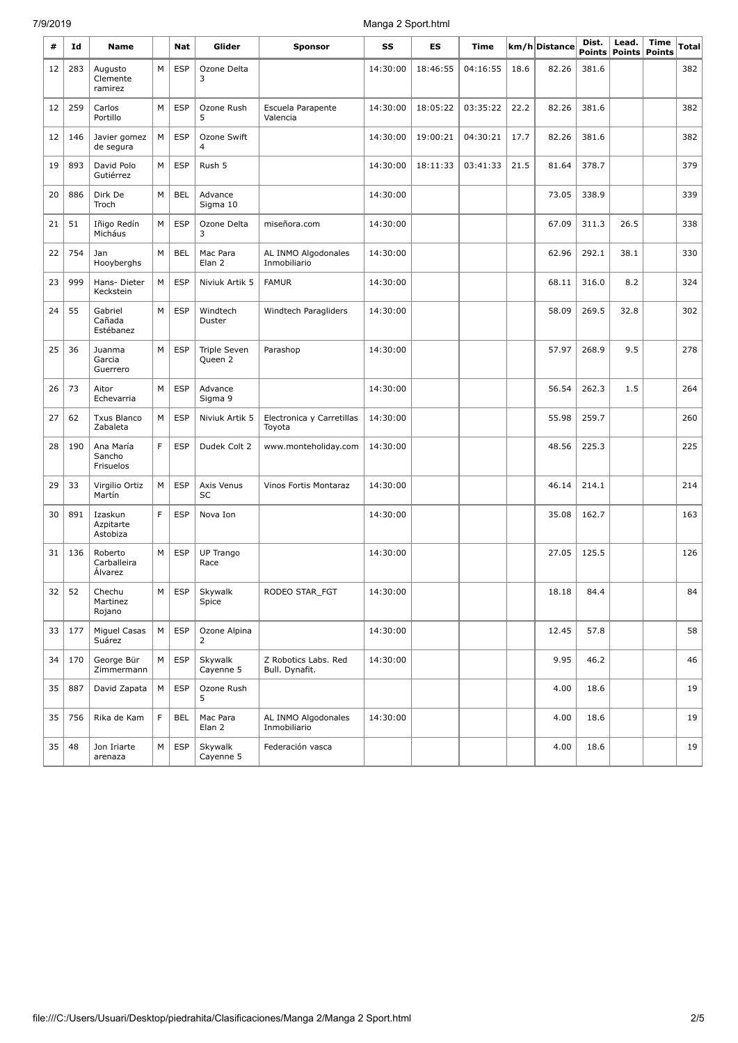# 7/9/2019 Manga 2 Sport.html

| #  | Id  | <b>Name</b>                       |    | Nat        | Glider                         | <b>Sponsor</b>                         | SS       | ES       | <b>Time</b> |      | km/h Distance | Dist.<br><b>Points</b> | Lead. | <b>Time</b><br><b>Points Points</b> | <b>Total</b> |
|----|-----|-----------------------------------|----|------------|--------------------------------|----------------------------------------|----------|----------|-------------|------|---------------|------------------------|-------|-------------------------------------|--------------|
| 12 | 283 | Augusto<br>Clemente<br>ramirez    | M  | <b>ESP</b> | Ozone Delta<br>3               |                                        | 14:30:00 | 18:46:55 | 04:16:55    | 18.6 | 82.26         | 381.6                  |       |                                     | 382          |
| 12 | 259 | Carlos<br>Portillo                | M  | <b>ESP</b> | Ozone Rush<br>5                | Escuela Parapente<br>Valencia          | 14:30:00 | 18:05:22 | 03:35:22    | 22.2 | 82.26         | 381.6                  |       |                                     | 382          |
| 12 | 146 | Javier gomez<br>de segura         | M  | <b>ESP</b> | Ozone Swift<br>$\overline{4}$  |                                        | 14:30:00 | 19:00:21 | 04:30:21    | 17.7 | 82.26         | 381.6                  |       |                                     | 382          |
| 19 | 893 | David Polo<br>Gutiérrez           | M  | <b>ESP</b> | Rush 5                         |                                        | 14:30:00 | 18:11:33 | 03:41:33    | 21.5 | 81.64         | 378.7                  |       |                                     | 379          |
| 20 | 886 | Dirk De<br>Troch                  | M  | <b>BEL</b> | Advance<br>Sigma 10            |                                        | 14:30:00 |          |             |      | 73.05         | 338.9                  |       |                                     | 339          |
| 21 | 51  | Iñigo Redín<br>Micháus            | M  | <b>ESP</b> | Ozone Delta<br>3               | miseñora.com                           | 14:30:00 |          |             |      | 67.09         | 311.3                  | 26.5  |                                     | 338          |
| 22 | 754 | Jan<br>Hooyberghs                 | M  | <b>BEL</b> | Mac Para<br>Elan 2             | AL INMO Algodonales<br>Inmobiliario    | 14:30:00 |          |             |      | 62.96         | 292.1                  | 38.1  |                                     | 330          |
| 23 | 999 | Hans-Dieter<br>Keckstein          | М  | <b>ESP</b> | Niviuk Artik 5                 | <b>FAMUR</b>                           | 14:30:00 |          |             |      | 68.11         | 316.0                  | 8.2   |                                     | 324          |
| 24 | 55  | Gabriel<br>Cañada<br>Estébanez    | M  | <b>ESP</b> | Windtech<br>Duster             | Windtech Paragliders                   | 14:30:00 |          |             |      | 58.09         | 269.5                  | 32.8  |                                     | 302          |
| 25 | 36  | Juanma<br>Garcia<br>Guerrero      | M  | <b>ESP</b> | <b>Triple Seven</b><br>Queen 2 | Parashop                               | 14:30:00 |          |             |      | 57.97         | 268.9                  | 9.5   |                                     | 278          |
| 26 | 73  | Aitor<br>Echevarria               | M  | <b>ESP</b> | Advance<br>Sigma 9             |                                        | 14:30:00 |          |             |      | 56.54         | 262.3                  | 1.5   |                                     | 264          |
| 27 | 62  | <b>Txus Blanco</b><br>Zabaleta    | M  | <b>ESP</b> | Niviuk Artik 5                 | Electronica y Carretillas<br>Toyota    | 14:30:00 |          |             |      | 55.98         | 259.7                  |       |                                     | 260          |
| 28 | 190 | Ana María<br>Sancho<br>Frisuelos  | F. | <b>ESP</b> | Dudek Colt 2                   | www.monteholiday.com                   | 14:30:00 |          |             |      | 48.56         | 225.3                  |       |                                     | 225          |
| 29 | 33  | Virgilio Ortiz<br>Martín          | M  | <b>ESP</b> | Axis Venus<br><b>SC</b>        | Vinos Fortis Montaraz                  | 14:30:00 |          |             |      | 46.14         | 214.1                  |       |                                     | 214          |
| 30 | 891 | Izaskun<br>Azpitarte<br>Astobiza  | F  | <b>ESP</b> | Nova Ion                       |                                        | 14:30:00 |          |             |      | 35.08         | 162.7                  |       |                                     | 163          |
| 31 | 136 | Roberto<br>Carballeira<br>Alvarez | M  | <b>ESP</b> | UP Trango<br>Race              |                                        | 14:30:00 |          |             |      | 27.05         | 125.5                  |       |                                     | 126          |
| 32 | 52  | Chechu<br>Martinez<br>Rojano      | М  | <b>ESP</b> | Skywalk<br>Spice               | RODEO STAR_FGT                         | 14:30:00 |          |             |      | 18.18         | 84.4                   |       |                                     | 84           |
| 33 | 177 | Miguel Casas<br>Suárez            | M  | <b>ESP</b> | Ozone Alpina<br>2              |                                        | 14:30:00 |          |             |      | 12.45         | 57.8                   |       |                                     | 58           |
| 34 | 170 | George Bür<br>Zimmermann          | M  | <b>ESP</b> | Skywalk<br>Cayenne 5           | Z Robotics Labs. Red<br>Bull. Dynafit. | 14:30:00 |          |             |      | 9.95          | 46.2                   |       |                                     | 46           |
| 35 | 887 | David Zapata                      | M  | <b>ESP</b> | Ozone Rush<br>5                |                                        |          |          |             |      | 4.00          | 18.6                   |       |                                     | 19           |
| 35 | 756 | Rika de Kam                       | F  | <b>BEL</b> | Mac Para<br>Elan <sub>2</sub>  | AL INMO Algodonales<br>Inmobiliario    | 14:30:00 |          |             |      | 4.00          | 18.6                   |       |                                     | 19           |
| 35 | 48  | Jon Iriarte<br>arenaza            | М  | <b>ESP</b> | Skywalk<br>Cayenne 5           | Federación vasca                       |          |          |             |      | 4.00          | 18.6                   |       |                                     | 19           |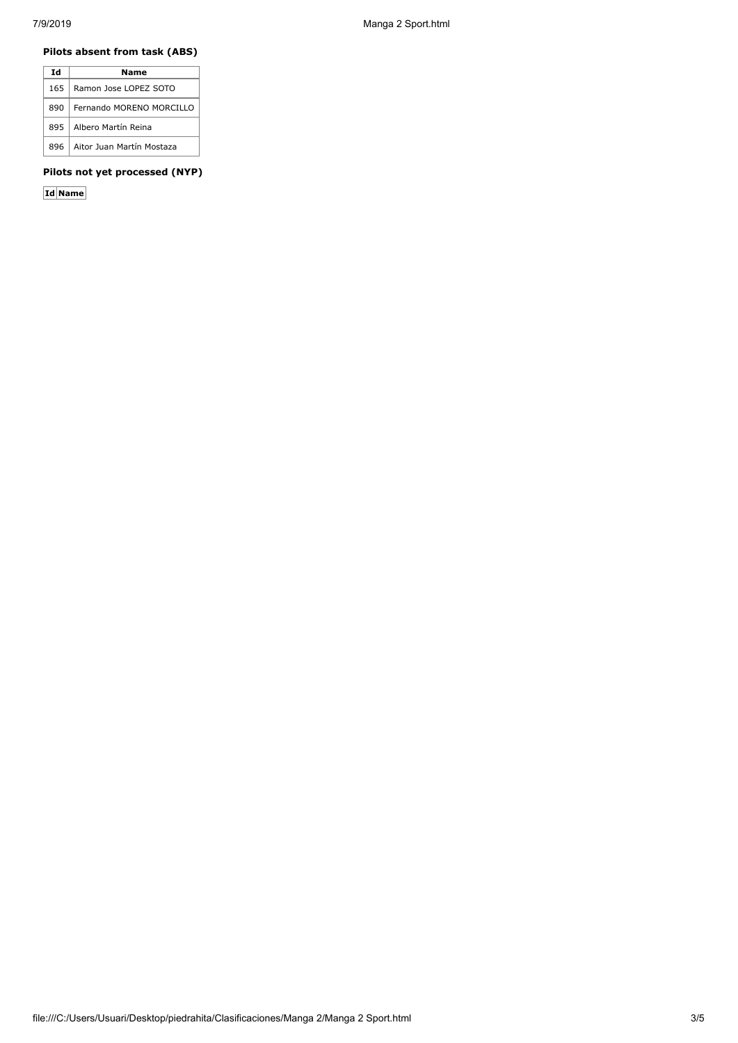## **Pilots absent from task (ABS)**

| Ιd   | Name                      |
|------|---------------------------|
| 1651 | Ramon Jose LOPEZ SOTO     |
| 890  | Fernando MORENO MORCILLO  |
| 8951 | Albero Martín Reina       |
| 896  | Aitor Juan Martín Mostaza |

# **Pilots not yet processed (NYP)**

**Id Name**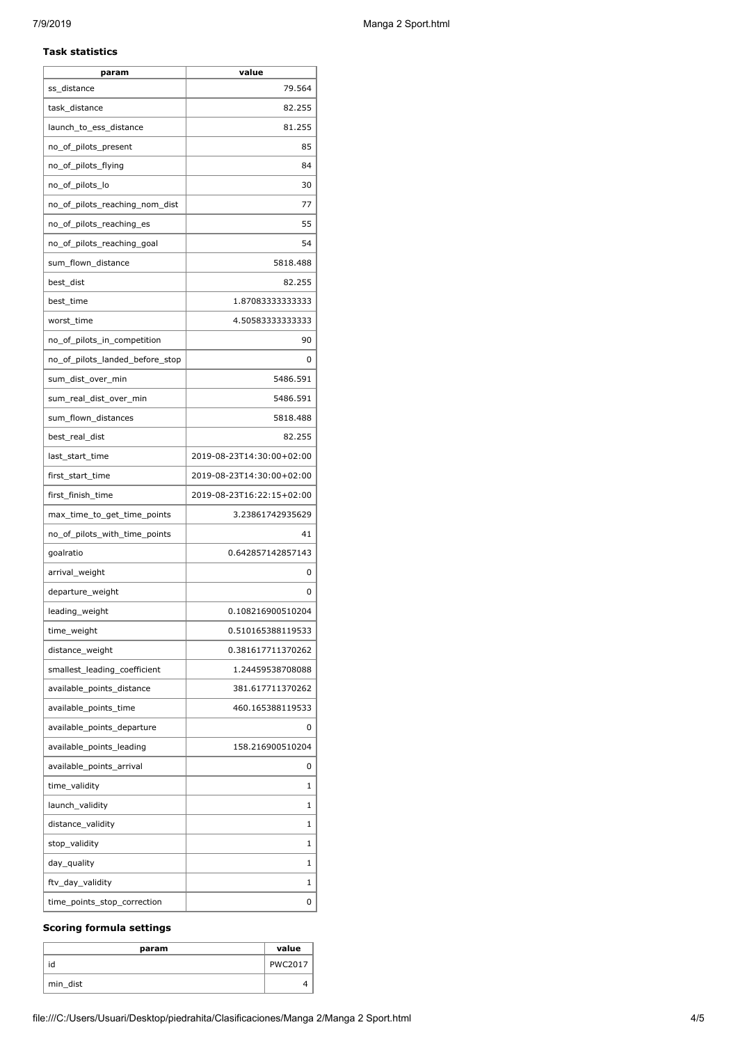#### **Task statistics**

| param                           | value                     |
|---------------------------------|---------------------------|
| ss_distance                     | 79.564                    |
| task_distance                   | 82.255                    |
| launch_to_ess_distance          | 81.255                    |
| no_of_pilots_present            | 85                        |
| no_of_pilots_flying             | 84                        |
| no_of_pilots_lo                 | 30                        |
| no_of_pilots_reaching_nom_dist  | 77                        |
| no_of_pilots_reaching_es        | 55                        |
| no_of_pilots_reaching_goal      | 54                        |
| sum_flown_distance              | 5818.488                  |
| best_dist                       | 82.255                    |
| best_time                       | 1.87083333333333          |
| worst_time                      | 4.50583333333333          |
| no_of_pilots_in_competition     | 90                        |
| no_of_pilots_landed_before_stop | 0                         |
| sum_dist_over_min               | 5486.591                  |
| sum_real_dist_over_min          | 5486.591                  |
| sum_flown_distances             | 5818.488                  |
| best_real_dist                  | 82.255                    |
| last_start_time                 | 2019-08-23T14:30:00+02:00 |
| first_start_time                | 2019-08-23T14:30:00+02:00 |
| first_finish_time               | 2019-08-23T16:22:15+02:00 |
| max_time_to_get_time_points     | 3.23861742935629          |
| no_of_pilots_with_time_points   | 41                        |
| goalratio                       | 0.642857142857143         |
| arrival_weight                  | 0                         |
| departure_weight                | 0                         |
| leading_weight                  | 0.108216900510204         |
| time_weight                     | 0.510165388119533         |
| distance_weight                 | 0.381617711370262         |
| smallest_leading_coefficient    | 1.24459538708088          |
| available_points_distance       | 381.617711370262          |
| available points time           | 460.165388119533          |
| available_points_departure      | 0                         |
| available_points_leading        | 158.216900510204          |
| available_points_arrival        | 0                         |
| time_validity                   | 1                         |
| launch_validity                 | 1                         |
| distance_validity               | 1                         |
| stop_validity                   | 1                         |
| day_quality                     |                           |
|                                 | 1                         |
| ftv_day_validity                | 1                         |

# **Scoring formula settings**

| param    | value          |
|----------|----------------|
| id       | <b>PWC2017</b> |
| min_dist |                |